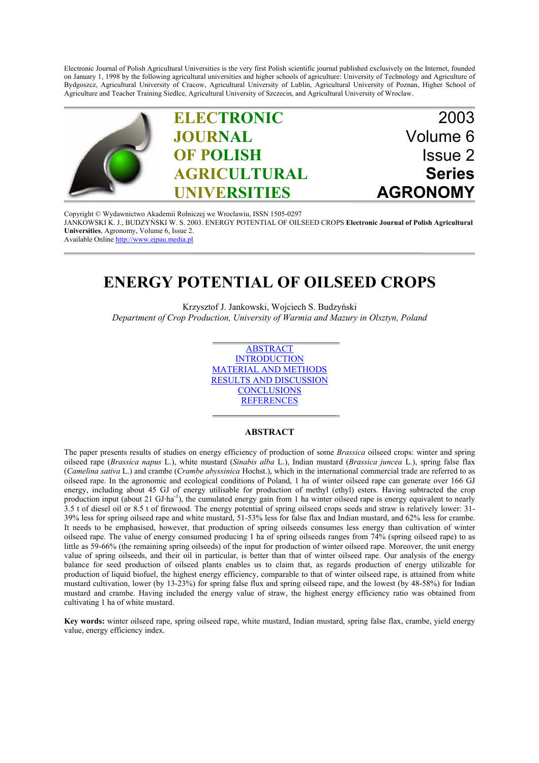Electronic Journal of Polish Agricultural Universities is the very first Polish scientific journal published exclusively on the Internet, founded on January 1, 1998 by the following agricultural universities and higher schools of agriculture: University of Technology and Agriculture of Bydgoszcz, Agricultural University of Cracow, Agricultural University of Lublin, Agricultural University of Poznan, Higher School of Agriculture and Teacher Training Siedlce, Agricultural University of Szczecin, and Agricultural University of Wroclaw.



Copyright © Wydawnictwo Akademii Rolniczej we Wroclawiu, ISSN 1505-0297 JANKOWSKI K. J., BUDZYŃSKI W. S. 2003. ENERGY POTENTIAL OF OILSEED CROPS **Electronic Journal of Polish Agricultural Universities**, Agronomy, Volume 6, Issue 2. Available Online http://www.ejpau.media.pl

# **ENERGY POTENTIAL OF OILSEED CROPS**

Krzysztof J. Jankowski, Wojciech S. Budzyński *Department of Crop Production, University of Warmia and Mazury in Olsztyn, Poland*

> ABSTRACT **INTRODUCTION** MATERIAL AND METHODS RESULTS AND DISCUSSION **CONCLUSIONS REFERENCES**

## **ABSTRACT**

The paper presents results of studies on energy efficiency of production of some *Brassica* oilseed crops: winter and spring oilseed rape (*Brassica napus* L.), white mustard (*Sinabis alba* L.), Indian mustard (*Brassica juncea* L.), spring false flax (*Camelina sativa* L.) and crambe (*Crambe abyssinica* Hochst.), which in the international commercial trade are referred to as oilseed rape. In the agronomic and ecological conditions of Poland, 1 ha of winter oilseed rape can generate over 166 GJ energy, including about 45 GJ of energy utilisable for production of methyl (ethyl) esters. Having subtracted the crop production input (about 21 GJ·ha<sup>-1</sup>), the cumulated energy gain from 1 ha winter oilseed rape is energy equivalent to nearly 3.5 t of diesel oil or 8.5 t of firewood. The energy potential of spring oilseed crops seeds and straw is relatively lower: 31- 39% less for spring oilseed rape and white mustard, 51-53% less for false flax and Indian mustard, and 62% less for crambe. It needs to be emphasised, however, that production of spring oilseeds consumes less energy than cultivation of winter oilseed rape. The value of energy consumed producing 1 ha of spring oilseeds ranges from 74% (spring oilseed rape) to as little as 59-66% (the remaining spring oilseeds) of the input for production of winter oilseed rape. Moreover, the unit energy value of spring oilseeds, and their oil in particular, is better than that of winter oilseed rape. Our analysis of the energy balance for seed production of oilseed plants enables us to claim that, as regards production of energy utilizable for production of liquid biofuel, the highest energy efficiency, comparable to that of winter oilseed rape, is attained from white mustard cultivation, lower (by 13-23%) for spring false flux and spring oilseed rape, and the lowest (by 48-58%) for Indian mustard and crambe. Having included the energy value of straw, the highest energy efficiency ratio was obtained from cultivating 1 ha of white mustard.

**Key words:** winter oilseed rape, spring oilseed rape, white mustard, Indian mustard, spring false flax, crambe, yield energy value, energy efficiency index.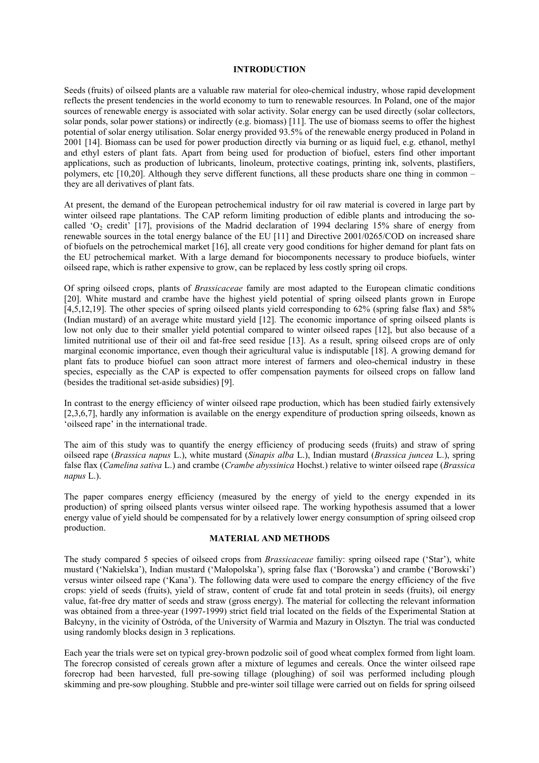#### **INTRODUCTION**

Seeds (fruits) of oilseed plants are a valuable raw material for oleo-chemical industry, whose rapid development reflects the present tendencies in the world economy to turn to renewable resources. In Poland, one of the major sources of renewable energy is associated with solar activity. Solar energy can be used directly (solar collectors, solar ponds, solar power stations) or indirectly (e.g. biomass) [11]. The use of biomass seems to offer the highest potential of solar energy utilisation. Solar energy provided 93.5% of the renewable energy produced in Poland in 2001 [14]. Biomass can be used for power production directly via burning or as liquid fuel, e.g. ethanol, methyl and ethyl esters of plant fats. Apart from being used for production of biofuel, esters find other important applications, such as production of lubricants, linoleum, protective coatings, printing ink, solvents, plastifiers, polymers, etc [10,20]. Although they serve different functions, all these products share one thing in common – they are all derivatives of plant fats.

At present, the demand of the European petrochemical industry for oil raw material is covered in large part by winter oilseed rape plantations. The CAP reform limiting production of edible plants and introducing the socalled 'O<sub>2</sub> credit' [17], provisions of the Madrid declaration of 1994 declaring 15% share of energy from renewable sources in the total energy balance of the EU [11] and Directive 2001/0265/COD on increased share of biofuels on the petrochemical market [16], all create very good conditions for higher demand for plant fats on the EU petrochemical market. With a large demand for biocomponents necessary to produce biofuels, winter oilseed rape, which is rather expensive to grow, can be replaced by less costly spring oil crops.

Of spring oilseed crops, plants of *Brassicaceae* family are most adapted to the European climatic conditions [20]. White mustard and crambe have the highest yield potential of spring oilseed plants grown in Europe [4,5,12,19]. The other species of spring oilseed plants yield corresponding to 62% (spring false flax) and 58% (Indian mustard) of an average white mustard yield [12]. The economic importance of spring oilseed plants is low not only due to their smaller yield potential compared to winter oilseed rapes [12], but also because of a limited nutritional use of their oil and fat-free seed residue [13]. As a result, spring oilseed crops are of only marginal economic importance, even though their agricultural value is indisputable [18]. A growing demand for plant fats to produce biofuel can soon attract more interest of farmers and oleo-chemical industry in these species, especially as the CAP is expected to offer compensation payments for oilseed crops on fallow land (besides the traditional set-aside subsidies) [9].

In contrast to the energy efficiency of winter oilseed rape production, which has been studied fairly extensively [2,3,6,7], hardly any information is available on the energy expenditure of production spring oilseeds, known as 'oilseed rape' in the international trade.

The aim of this study was to quantify the energy efficiency of producing seeds (fruits) and straw of spring oilseed rape (*Brassica napus* L.), white mustard (*Sinapis alba* L.), Indian mustard (*Brassica juncea* L.), spring false flax (*Camelina sativa* L.) and crambe (*Crambe abyssinica* Hochst.) relative to winter oilseed rape (*Brassica napus* L.).

The paper compares energy efficiency (measured by the energy of yield to the energy expended in its production) of spring oilseed plants versus winter oilseed rape. The working hypothesis assumed that a lower energy value of yield should be compensated for by a relatively lower energy consumption of spring oilseed crop production.

#### **MATERIAL AND METHODS**

The study compared 5 species of oilseed crops from *Brassicaceae* familiy: spring oilseed rape ('Star'), white mustard ('Nakielska'), Indian mustard ('Małopolska'), spring false flax ('Borowska') and crambe ('Borowski') versus winter oilseed rape ('Kana'). The following data were used to compare the energy efficiency of the five crops: yield of seeds (fruits), yield of straw, content of crude fat and total protein in seeds (fruits), oil energy value, fat-free dry matter of seeds and straw (gross energy). The material for collecting the relevant information was obtained from a three-year (1997-1999) strict field trial located on the fields of the Experimental Station at Bałcyny, in the vicinity of Ostróda, of the University of Warmia and Mazury in Olsztyn. The trial was conducted using randomly blocks design in 3 replications.

Each year the trials were set on typical grey-brown podzolic soil of good wheat complex formed from light loam. The forecrop consisted of cereals grown after a mixture of legumes and cereals. Once the winter oilseed rape forecrop had been harvested, full pre-sowing tillage (ploughing) of soil was performed including plough skimming and pre-sow ploughing. Stubble and pre-winter soil tillage were carried out on fields for spring oilseed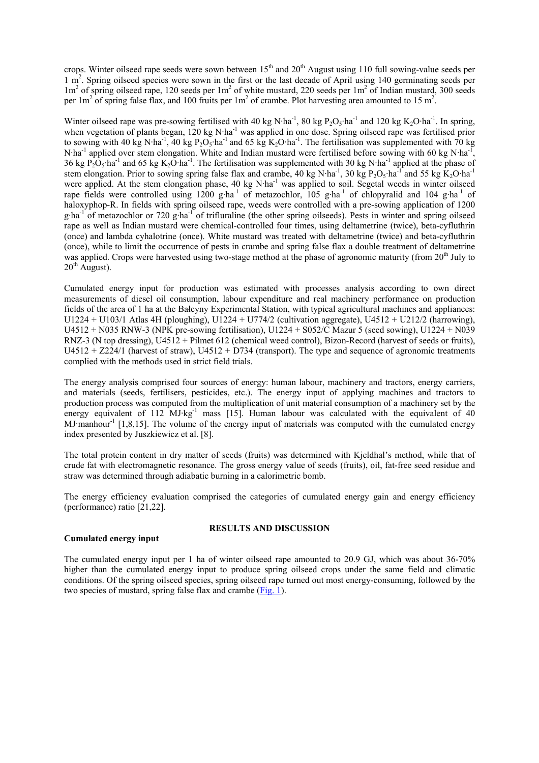crops. Winter oilseed rape seeds were sown between 15<sup>th</sup> and 20<sup>th</sup> August using 110 full sowing-value seeds per 1 m<sup>2</sup>. Spring oilseed species were sown in the first or the last decade of April using 140 germinating seeds per 1m<sup>2</sup> of spring oilseed rape, 120 seeds per 1m<sup>2</sup> of white mustard, 220 seeds per 1m<sup>2</sup> of Indian mustard, 300 seeds per 1m<sup>2</sup> of spring false flax, and 100 fruits per 1m<sup>2</sup> of crambe. Plot harvesting area amounted to 15 m<sup>2</sup>.

Winter oilseed rape was pre-sowing fertilised with 40 kg N·ha<sup>-1</sup>, 80 kg P<sub>2</sub>O<sub>5</sub>·ha<sup>-1</sup> and 120 kg K<sub>2</sub>O·ha<sup>-1</sup>. In spring, when vegetation of plants began, 120 kg N·ha<sup>-1</sup> was applied in one dose. Spring oilseed rape was fertilised prior to sowing with 40 kg N·ha<sup>-1</sup>, 40 kg P<sub>2</sub>O<sub>5</sub>·ha<sup>-1</sup> and 65 kg K<sub>2</sub>O·ha<sup>-1</sup>. The fertilisation was supplemented with 70 kg N·ha<sup>-1</sup> applied over stem elongation. White and Indian mustard were fertilised before sowing with 60 kg N·ha<sup>-1</sup>, 36 kg  $P_2O_5$ ·ha<sup>-1</sup> and 65 kg K<sub>2</sub>O·ha<sup>-1</sup>. The fertilisation was supplemented with 30 kg N·ha<sup>-1</sup> applied at the phase of stem elongation. Prior to sowing spring false flax and crambe, 40 kg N·ha<sup>-1</sup>, 30 kg P<sub>2</sub>O<sub>5</sub>·ha<sup>-1</sup> and 55 kg K<sub>2</sub>O·ha<sup>-1</sup> were applied. At the stem elongation phase, 40 kg N·ha<sup>-1</sup> was applied to soil. Segetal weeds in winter oilseed rape fields were controlled using  $1200 \text{ g} \cdot \text{ha}^{-1}$  of metazochlor,  $105 \text{ g} \cdot \text{ha}^{-1}$  of chlopyralid and  $104 \text{ g} \cdot \text{ha}^{-1}$  of haloxyphop-R. In fields with spring oilseed rape, weeds were controlled with a pre-sowing application of 1200  $g$ ·ha<sup>-1</sup> of metazochlor or 720 g·ha<sup>-1</sup> of trifluraline (the other spring oilseeds). Pests in winter and spring oilseed rape as well as Indian mustard were chemical-controlled four times, using deltametrine (twice), beta-cyfluthrin (once) and lambda cyhalotrine (once). White mustard was treated with deltametrine (twice) and beta-cyfluthrin (once), while to limit the occurrence of pests in crambe and spring false flax a double treatment of deltametrine was applied. Crops were harvested using two-stage method at the phase of agronomic maturity (from  $20<sup>th</sup>$  July to  $20<sup>th</sup>$  August).

Cumulated energy input for production was estimated with processes analysis according to own direct measurements of diesel oil consumption, labour expenditure and real machinery performance on production fields of the area of 1 ha at the Bałcyny Experimental Station, with typical agricultural machines and appliances: U1224 + U103/1 Atlas 4H (ploughing), U1224 + U774/2 (cultivation aggregate), U4512 + U212/2 (harrowing), U4512 + N035 RNW-3 (NPK pre-sowing fertilisation), U1224 + S052/C Mazur 5 (seed sowing), U1224 + N039 RNZ-3 (N top dressing), U4512 + Pilmet 612 (chemical weed control), Bizon-Record (harvest of seeds or fruits),  $U4512 + Z224/1$  (harvest of straw),  $U4512 + D734$  (transport). The type and sequence of agronomic treatments complied with the methods used in strict field trials.

The energy analysis comprised four sources of energy: human labour, machinery and tractors, energy carriers, and materials (seeds, fertilisers, pesticides, etc.). The energy input of applying machines and tractors to production process was computed from the multiplication of unit material consumption of a machinery set by the energy equivalent of 112 MJ·kg<sup>-1</sup> mass [15]. Human labour was calculated with the equivalent of 40 MJ·manhour<sup>-1</sup> [1,8,15]. The volume of the energy input of materials was computed with the cumulated energy index presented by Juszkiewicz et al. [8].

The total protein content in dry matter of seeds (fruits) was determined with Kjeldhal's method, while that of crude fat with electromagnetic resonance. The gross energy value of seeds (fruits), oil, fat-free seed residue and straw was determined through adiabatic burning in a calorimetric bomb.

The energy efficiency evaluation comprised the categories of cumulated energy gain and energy efficiency (performance) ratio [21,22].

## **Cumulated energy input**

## **RESULTS AND DISCUSSION**

The cumulated energy input per 1 ha of winter oilseed rape amounted to 20.9 GJ, which was about 36-70% higher than the cumulated energy input to produce spring oilseed crops under the same field and climatic conditions. Of the spring oilseed species, spring oilseed rape turned out most energy-consuming, followed by the two species of mustard, spring false flax and crambe (Fig. 1).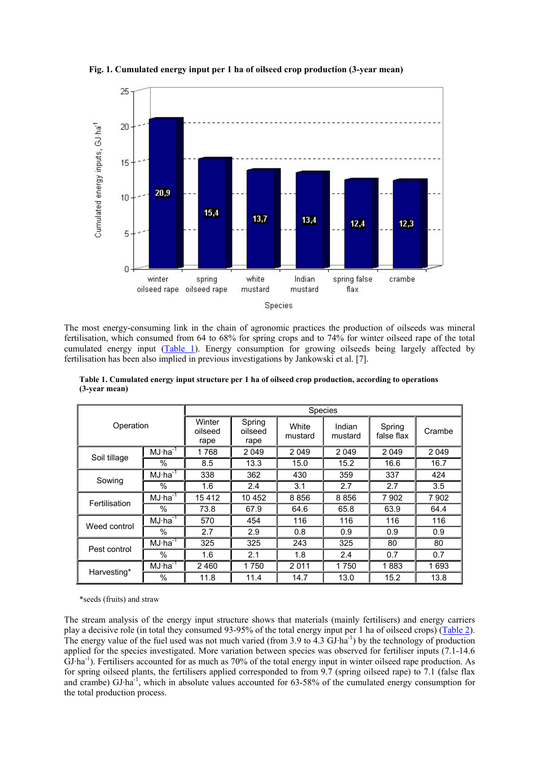

**Fig. 1. Cumulated energy input per 1 ha of oilseed crop production (3-year mean)**

The most energy-consuming link in the chain of agronomic practices the production of oilseeds was mineral fertilisation, which consumed from 64 to 68% for spring crops and to 74% for winter oilseed rape of the total cumulated energy input (Table 1). Energy consumption for growing oilseeds being largely affected by fertilisation has been also implied in previous investigations by Jankowski et al. [7].

| Operation     |           | <b>Species</b>            |                           |                  |                   |                      |         |  |
|---------------|-----------|---------------------------|---------------------------|------------------|-------------------|----------------------|---------|--|
|               |           | Winter<br>oilseed<br>rape | Spring<br>oilseed<br>rape | White<br>mustard | Indian<br>mustard | Spring<br>false flax | Crambe  |  |
|               | $MJ·ha-1$ | 1768                      | 2 0 4 9                   | 2049             | 2 0 4 9           | 2049                 | 2 0 4 9 |  |
| Soil tillage  | %         | 8.5                       | 13.3                      | 15.0             | 15.2              | 16.6                 | 16.7    |  |
| Sowing        | $MJ·ha-1$ | 338                       | 362                       | 430              | 359               | 337                  | 424     |  |
|               | $\%$      | 1.6                       | 2.4                       | 3.1              | 2.7               | 2.7                  | 3.5     |  |
| Fertilisation | $MJ·ha-1$ | 15412                     | 10 452                    | 8856             | 8856              | 7902                 | 7 9 0 2 |  |
|               | $\%$      | 73.8                      | 67.9                      | 64.6             | 65.8              | 63.9                 | 64.4    |  |
| Weed control  | $MJ·ha-1$ | 570                       | 454                       | 116              | 116               | 116                  | 116     |  |
|               | $\%$      | 2.7                       | 2.9                       | 0.8              | 0.9               | 0.9                  | 0.9     |  |
| Pest control  | $MJ·ha-T$ | 325                       | 325                       | 243              | 325               | 80                   | 80      |  |
|               | %         | 1.6                       | 2.1                       | 1.8              | 2.4               | 0.7                  | 0.7     |  |
| Harvesting*   | $MJ·ha-1$ | 2 4 6 0                   | 1750                      | 2011             | 1750              | 1883                 | 1693    |  |
|               | $\%$      | 11.8                      | 11.4                      | 14.7             | 13.0              | 15.2                 | 13.8    |  |

**Table 1. Cumulated energy input structure per 1 ha of oilseed crop production, according to operations (3-year mean)**

\*seeds (fruits) and straw

The stream analysis of the energy input structure shows that materials (mainly fertilisers) and energy carriers play a decisive role (in total they consumed 93-95% of the total energy input per 1 ha of oilseed crops) (Table 2). The energy value of the fuel used was not much varied (from 3.9 to  $\overline{4.3}$  GJ·ha<sup>-1</sup>) by the technology of production applied for the species investigated. More variation between species was observed for fertiliser inputs (7.1-14.6 GJ·ha<sup>-1</sup>). Fertilisers accounted for as much as 70% of the total energy input in winter oilseed rape production. As for spring oilseed plants, the fertilisers applied corresponded to from 9.7 (spring oilseed rape) to 7.1 (false flax and crambe) GJ·ha-1, which in absolute values accounted for 63-58% of the cumulated energy consumption for the total production process.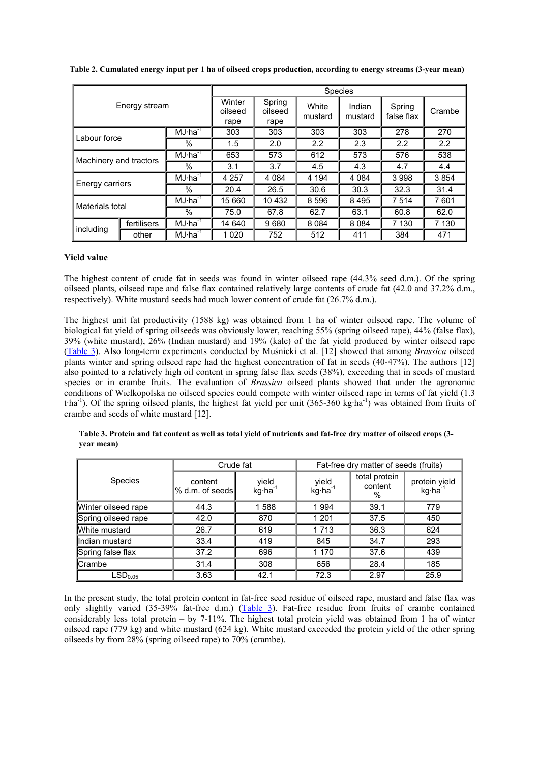| Energy stream          |             |              | <b>Species</b>            |                           |                  |                   |                      |         |  |
|------------------------|-------------|--------------|---------------------------|---------------------------|------------------|-------------------|----------------------|---------|--|
|                        |             |              | Winter<br>oilseed<br>rape | Spring<br>oilseed<br>rape | White<br>mustard | Indian<br>mustard | Spring<br>false flax | Crambe  |  |
| Labour force           |             | $MJ·ha^{-1}$ | 303                       | 303                       | 303              | 303               | 278                  | 270     |  |
|                        |             | $\%$         | 1.5                       | 2.0                       | 2.2              | 2.3               | 2.2                  | 2.2     |  |
| Machinery and tractors |             | $MJ·ha-1$    | 653                       | 573                       | 612              | 573               | 576                  | 538     |  |
|                        |             | %            | 3.1                       | 3.7                       | 4.5              | 4.3               | 4.7                  | 4.4     |  |
| Energy carriers        |             | $MJ·ha^{-1}$ | 4 2 5 7                   | 4 0 8 4                   | 4 1 9 4          | 4 0 8 4           | 3998                 | 3854    |  |
|                        |             | $\%$         | 20.4                      | 26.5                      | 30.6             | 30.3              | 32.3                 | 31.4    |  |
| Materials total        |             | $MJ·ha-T$    | 15 660                    | 10 432                    | 8 5 9 6          | 8495              | 7 5 1 4              | 7601    |  |
|                        |             | $\%$         | 75.0                      | 67.8                      | 62.7             | 63.1              | 60.8                 | 62.0    |  |
| including              | fertilisers | $MJ·ha-1$    | 14 640                    | 9680                      | 8 0 8 4          | 8 0 8 4           | 7 1 3 0              | 7 1 3 0 |  |
|                        | other       | $MJ·ha-1$    | 1 0 2 0                   | 752                       | 512              | 411               | 384                  | 471     |  |

**Table 2. Cumulated energy input per 1 ha of oilseed crops production, according to energy streams (3-year mean)**

## **Yield value**

The highest content of crude fat in seeds was found in winter oilseed rape (44.3% seed d.m.). Of the spring oilseed plants, oilseed rape and false flax contained relatively large contents of crude fat (42.0 and 37.2% d.m., respectively). White mustard seeds had much lower content of crude fat (26.7% d.m.).

The highest unit fat productivity (1588 kg) was obtained from 1 ha of winter oilseed rape. The volume of biological fat yield of spring oilseeds was obviously lower, reaching 55% (spring oilseed rape), 44% (false flax), 39% (white mustard), 26% (Indian mustard) and 19% (kale) of the fat yield produced by winter oilseed rape (Table 3). Also long-term experiments conducted by Muśnicki et al. [12] showed that among *Brassica* oilseed plants winter and spring oilseed rape had the highest concentration of fat in seeds (40-47%). The authors [12] also pointed to a relatively high oil content in spring false flax seeds (38%), exceeding that in seeds of mustard species or in crambe fruits. The evaluation of *Brassica* oilseed plants showed that under the agronomic conditions of Wielkopolska no oilseed species could compete with winter oilseed rape in terms of fat yield (1.3 tha<sup>-1</sup>). Of the spring oilseed plants, the highest fat yield per unit (365-360 kg·ha<sup>-1</sup>) was obtained from fruits of crambe and seeds of white mustard [12].

**Table 3. Protein and fat content as well as total yield of nutrients and fat-free dry matter of oilseed crops (3 year mean)**

|                     | Crude fat                  |                             | Fat-free dry matter of seeds (fruits) |                               |                                      |  |
|---------------------|----------------------------|-----------------------------|---------------------------------------|-------------------------------|--------------------------------------|--|
| <b>Species</b>      | content<br>% d.m. of seeds | yield<br>$kg \cdot ha^{-1}$ | yield<br>$kg \cdot ha^{-1}$           | total protein<br>content<br>% | protein yield<br>kg·ha <sup>-1</sup> |  |
| Winter oilseed rape | 44.3                       | 1588                        | 1994                                  | 39.1                          | 779                                  |  |
| Spring oilseed rape | 42.0                       | 870                         | 1 2 0 1                               | 37.5                          | 450                                  |  |
| White mustard       | 26.7                       | 619                         | 1713                                  | 36.3                          | 624                                  |  |
| llndian mustard     | 33.4                       | 419                         | 845                                   | 34.7                          | 293                                  |  |
| Spring false flax   | 37.2                       | 696                         | 1 170                                 | 37.6                          | 439                                  |  |
| <b>Crambe</b>       | 31.4                       | 308                         | 656                                   | 28.4                          | 185                                  |  |
| LSD <sub>0.05</sub> | 3.63                       | 42.1                        | 72.3                                  | 2.97                          | 25.9                                 |  |

In the present study, the total protein content in fat-free seed residue of oilseed rape, mustard and false flax was only slightly varied (35-39% fat-free d.m.) (Table 3). Fat-free residue from fruits of crambe contained considerably less total protein – by 7-11%. The highest total protein yield was obtained from 1 ha of winter oilseed rape (779 kg) and white mustard (624 kg). White mustard exceeded the protein yield of the other spring oilseeds by from 28% (spring oilseed rape) to 70% (crambe).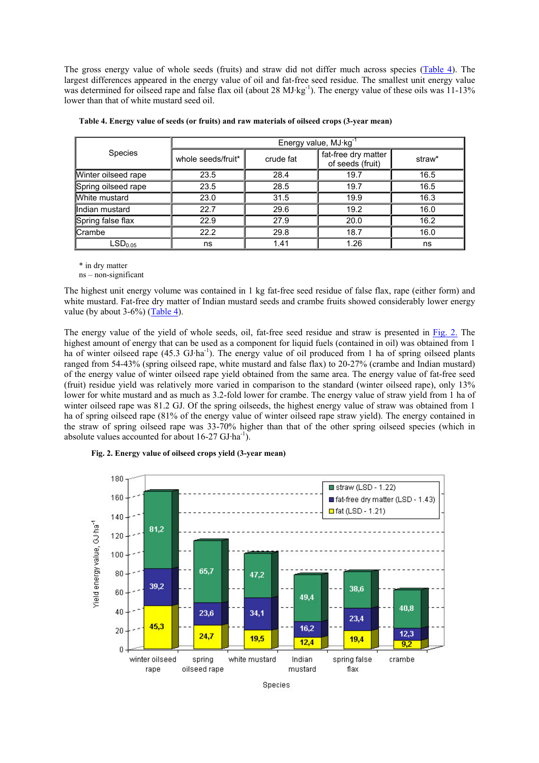The gross energy value of whole seeds (fruits) and straw did not differ much across species (Table 4). The largest differences appeared in the energy value of oil and fat-free seed residue. The smallest unit energy value was determined for oilseed rape and false flax oil (about 28 MJ·kg<sup>-1</sup>). The energy value of these oils was 11-13% lower than that of white mustard seed oil.

|                     | Energy value, $MJ·kg-1$ |              |                                         |        |  |  |  |
|---------------------|-------------------------|--------------|-----------------------------------------|--------|--|--|--|
| <b>Species</b>      | whole seeds/fruit*      | crude fat    | fat-free dry matter<br>of seeds (fruit) | straw* |  |  |  |
| Winter oilseed rape | 23.5                    | 28.4         | 19.7                                    | 16.5   |  |  |  |
| Spring oilseed rape | 23.5                    | 28.5         | 19.7                                    | 16.5   |  |  |  |
| White mustard       | 23.0                    | 31.5         | 19.9                                    | 16.3   |  |  |  |
| lindian mustard     | 22.7                    | 29.6         | 19.2                                    | 16.0   |  |  |  |
| Spring false flax   | 22.9                    | 27.9         | 20.0                                    | 16.2   |  |  |  |
| <b>Crambe</b>       | 22.2                    | 29.8<br>18.7 |                                         | 16.0   |  |  |  |
| LSD <sub>0.05</sub> | ns                      | 1.41         | 1.26                                    | ns     |  |  |  |

| Table 4. Energy value of seeds (or fruits) and raw materials of oilseed crops (3-year mean) |  |  |
|---------------------------------------------------------------------------------------------|--|--|
|                                                                                             |  |  |

\* in dry matter

ns – non-significant

The highest unit energy volume was contained in 1 kg fat-free seed residue of false flax, rape (either form) and white mustard. Fat-free dry matter of Indian mustard seeds and crambe fruits showed considerably lower energy value (by about  $3-6\%$ ) (Table 4).

The energy value of the yield of whole seeds, oil, fat-free seed residue and straw is presented in Fig. 2. The highest amount of energy that can be used as a component for liquid fuels (contained in oil) was obtained from 1 ha of winter oilseed rape (45.3 GJ·ha<sup>-1</sup>). The energy value of oil produced from 1 ha of spring oilseed plants ranged from 54-43% (spring oilseed rape, white mustard and false flax) to 20-27% (crambe and Indian mustard) of the energy value of winter oilseed rape yield obtained from the same area. The energy value of fat-free seed (fruit) residue yield was relatively more varied in comparison to the standard (winter oilseed rape), only 13% lower for white mustard and as much as 3.2-fold lower for crambe. The energy value of straw yield from 1 ha of winter oilseed rape was 81.2 GJ. Of the spring oilseeds, the highest energy value of straw was obtained from 1 ha of spring oilseed rape (81% of the energy value of winter oilseed rape straw yield). The energy contained in the straw of spring oilseed rape was 33-70% higher than that of the other spring oilseed species (which in absolute values accounted for about 16-27 GJ·ha<sup>-1</sup>).



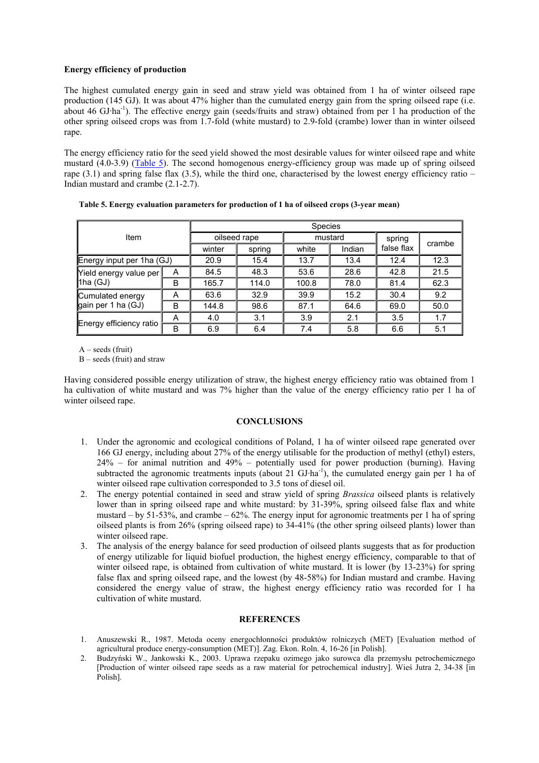## **Energy efficiency of production**

The highest cumulated energy gain in seed and straw yield was obtained from 1 ha of winter oilseed rape production (145 GJ). It was about 47% higher than the cumulated energy gain from the spring oilseed rape (i.e. about 46 GJ·ha-1). The effective energy gain (seeds/fruits and straw) obtained from per 1 ha production of the other spring oilseed crops was from 1.7-fold (white mustard) to 2.9-fold (crambe) lower than in winter oilseed rape.

The energy efficiency ratio for the seed yield showed the most desirable values for winter oilseed rape and white mustard (4.0-3.9) (Table 5). The second homogenous energy-efficiency group was made up of spring oilseed rape  $(3.1)$  and spring false flax  $(3.5)$ , while the third one, characterised by the lowest energy efficiency ratio – Indian mustard and crambe (2.1-2.7).

| Item                                     |   | Species      |        |         |        |            |        |  |
|------------------------------------------|---|--------------|--------|---------|--------|------------|--------|--|
|                                          |   | oilseed rape |        | mustard |        | spring     | crambe |  |
|                                          |   | winter       | spring | white   | Indian | false flax |        |  |
| Energy input per 1ha (GJ)                |   | 20.9         | 15.4   | 13.7    | 13.4   | 12.4       | 12.3   |  |
| Yield energy value per<br>$ 1$ ha (GJ)   | A | 84.5         | 48.3   | 53.6    | 28.6   | 42.8       | 21.5   |  |
|                                          | B | 165.7        | 114.0  | 100.8   | 78.0   | 81.4       | 62.3   |  |
| Cumulated energy<br>gain per 1 ha $(GJ)$ | A | 63.6         | 32.9   | 39.9    | 15.2   | 30.4       | 9.2    |  |
|                                          | B | 144.8        | 98.6   | 87.1    | 64.6   | 69.0       | 50.0   |  |
| Energy efficiency ratio                  | A | 4.0          | 3.1    | 3.9     | 2.1    | 3.5        | 1.7    |  |
|                                          | B | 6.9          | 6.4    | 7.4     | 5.8    | 6.6        | 5.1    |  |

**Table 5. Energy evaluation parameters for production of 1 ha of oilseed crops (3-year mean)**

 $A - seeds$  (fruit)

B – seeds (fruit) and straw

Having considered possible energy utilization of straw, the highest energy efficiency ratio was obtained from 1 ha cultivation of white mustard and was 7% higher than the value of the energy efficiency ratio per 1 ha of winter oilseed rape.

## **CONCLUSIONS**

- 1. Under the agronomic and ecological conditions of Poland, 1 ha of winter oilseed rape generated over 166 GJ energy, including about 27% of the energy utilisable for the production of methyl (ethyl) esters, 24% – for animal nutrition and 49% – potentially used for power production (burning). Having subtracted the agronomic treatments inputs (about 21 GJ·ha<sup>-1</sup>), the cumulated energy gain per 1 ha of winter oilseed rape cultivation corresponded to 3.5 tons of diesel oil.
- 2. The energy potential contained in seed and straw yield of spring *Brassica* oilseed plants is relatively lower than in spring oilseed rape and white mustard: by 31-39%, spring oilseed false flax and white mustard – by 51-53%, and crambe – 62%. The energy input for agronomic treatments per 1 ha of spring oilseed plants is from 26% (spring oilseed rape) to 34-41% (the other spring oilseed plants) lower than winter oilseed rape.
- 3. The analysis of the energy balance for seed production of oilseed plants suggests that as for production of energy utilizable for liquid biofuel production, the highest energy efficiency, comparable to that of winter oilseed rape, is obtained from cultivation of white mustard. It is lower (by 13-23%) for spring false flax and spring oilseed rape, and the lowest (by 48-58%) for Indian mustard and crambe. Having considered the energy value of straw, the highest energy efficiency ratio was recorded for 1 ha cultivation of white mustard.

## **REFERENCES**

- 1. Anuszewski R., 1987. Metoda oceny energochłonności produktów rolniczych (MET) [Evaluation method of agricultural produce energy-consumption (MET)]. Zag. Ekon. Roln. 4, 16-26 [in Polish].
- 2. Budzyński W., Jankowski K., 2003. Uprawa rzepaku ozimego jako surowca dla przemysłu petrochemicznego [Production of winter oilseed rape seeds as a raw material for petrochemical industry]. Wieś Jutra 2, 34-38 [in Polish].